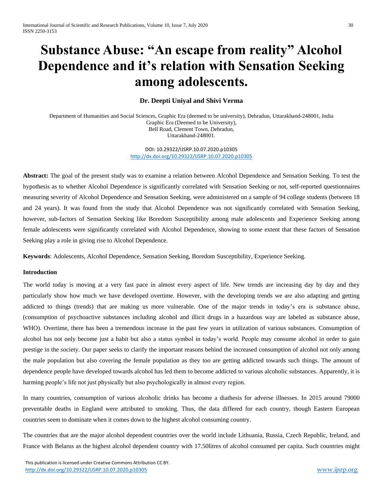# **Substance Abuse: "An escape from reality" Alcohol Dependence and it's relation with Sensation Seeking among adolescents.**

# **Dr. Deepti Uniyal and Shivi Verma**

Department of Humanities and Social Sciences, Graphic Era (deemed to be university), Dehradun, Uttarakhand-248001, India Graphic Era (Deemed to be University), Bell Road, Clement Town, Dehradun, Uttarakhand-248001.

> DOI: 10.29322/IJSRP.10.07.2020.p10305 <http://dx.doi.org/10.29322/IJSRP.10.07.2020.p10305>

**Abstract:** The goal of the present study was to examine a relation between Alcohol Dependence and Sensation Seeking. To test the hypothesis as to whether Alcohol Dependence is significantly correlated with Sensation Seeking or not, self-reported questionnaires measuring severity of Alcohol Dependence and Sensation Seeking, were administered on a sample of 94 college students (between 18 and 24 years). It was found from the study that Alcohol Dependence was not significantly correlated with Sensation Seeking, however, sub-factors of Sensation Seeking like Boredom Susceptibility among male adolescents and Experience Seeking among female adolescents were significantly correlated with Alcohol Dependence, showing to some extent that these factors of Sensation Seeking play a role in giving rise to Alcohol Dependence.

**Keywords**: Adolescents, Alcohol Dependence, Sensation Seeking, Boredom Susceptibility, Experience Seeking.

## **Introduction**

The world today is moving at a very fast pace in almost every aspect of life. New trends are increasing day by day and they particularly show how much we have developed overtime. However, with the developing trends we are also adapting and getting addicted to things (trends) that are making us more vulnerable. One of the major trends in today's era is substance abuse, (consumption of psychoactive substances including alcohol and illicit drugs in a hazardous way are labeled as substance abuse, WHO). Overtime, there has been a tremendous increase in the past few years in utilization of various substances. Consumption of alcohol has not only become just a habit but also a status symbol in today's world. People may consume alcohol in order to gain prestige in the society. Our paper seeks to clarify the important reasons behind the increased consumption of alcohol not only among the male population but also covering the female population as they too are getting addicted towards such things. The amount of dependence people have developed towards alcohol has led them to become addicted to various alcoholic substances. Apparently, it is harming people's life not just physically but also psychologically in almost every region.

In many countries, consumption of various alcoholic drinks has become a diathesis for adverse illnesses. In 2015 around 79000 preventable deaths in England were attributed to smoking. Thus, the data differed for each country, though Eastern European countries seem to dominate when it comes down to the highest alcohol consuming country.

The countries that are the major alcohol dependent countries over the world include Lithuania, Russia, Czech Republic, Ireland, and France with Belarus as the highest alcohol dependent country with 17.50litres of alcohol consumed per capita. Such countries might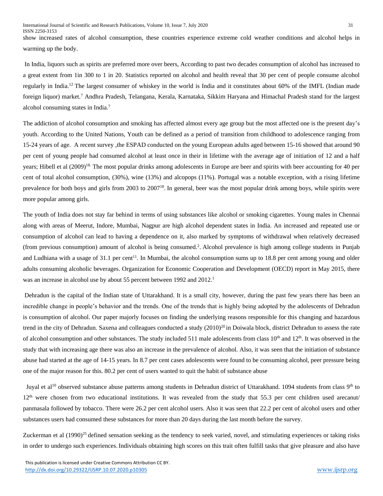show increased rates of alcohol consumption, these countries experience extreme cold weather conditions and alcohol helps in warming up the body.

In India, liquors such as spirits are preferred more over beers, According to past two decades consumption of alcohol has increased to a great extent from 1in 300 to 1 in 20. Statistics reported on alcohol and health reveal that 30 per cent of people consume alcohol regularly in India.<sup>12</sup> The largest consumer of whiskey in the world is India and it constitutes about 60% of the IMFL (Indian made foreign liquor) market.<sup>7</sup> Andhra Pradesh, Telangana, Kerala, Karnataka, Sikkim Haryana and Himachal Pradesh stand for the largest alcohol consuming states in India.<sup>7</sup>

The addiction of alcohol consumption and smoking has affected almost every age group but the most affected one is the present day's youth. According to the United Nations, Youth can be defined as a period of transition from childhood to adolescence ranging from 15-24 years of age. A recent survey ,the ESPAD conducted on the young European adults aged between 15-16 showed that around 90 per cent of young people had consumed alcohol at least once in their in lifetime with the average age of initiation of 12 and a half years; Hibell et al (2009)<sup>18.</sup> The most popular drinks among adolescents in Europe are beer and spirits with beer accounting for 40 per cent of total alcohol consumption, (30%), wine (13%) and alcopops (11%). Portugal was a notable exception, with a rising lifetime prevalence for both boys and girls from 2003 to 2007<sup>18</sup>. In general, beer was the most popular drink among boys, while spirits were more popular among girls.

The youth of India does not stay far behind in terms of using substances like alcohol or smoking cigarettes. Young males in Chennai along with areas of Meerut, Indore, Mumbai, Nagpur are high alcohol dependent states in India. An increased and repeated use or consumption of alcohol can lead to having a dependence on it, also marked by symptoms of withdrawal when relatively decreased (from previous consumption) amount of alcohol is being consumed.<sup>2</sup> . Alcohol prevalence is high among college students in Punjab and Ludhiana with a usage of 31.1 per cent<sup>11</sup>. In Mumbai, the alcohol consumption sums up to 18.8 per cent among young and older adults consuming alcoholic beverages. Organization for Economic Cooperation and Development (OECD) report in May 2015, there was an increase in alcohol use by about 55 percent between 1992 and 2012.<sup>1</sup>

Dehradun is the capital of the Indian state of Uttarakhand. It is a small city, however, during the past few years there has been an incredible change in people's behavior and the trends. One of the trends that is highly being adopted by the adolescents of Dehradun is consumption of alcohol. Our paper majorly focuses on finding the underlying reasons responsible for this changing and hazardous trend in the city of Dehradun. Saxena and colleagues conducted a study  $(2010)^{20}$  in Doiwala block, district Dehradun to assess the rate of alcohol consumption and other substances. The study included 511 male adolescents from class  $10<sup>th</sup>$  and  $12<sup>th</sup>$ . It was observed in the study that with increasing age there was also an increase in the prevalence of alcohol. Also, it was seen that the initiation of substance abuse had started at the age of 14-15 years. In 8.7 per cent cases adolescents were found to be consuming alcohol, peer pressure being one of the major reason for this. 80.2 per cent of users wanted to quit the habit of substance abuse

Juyal et al<sup>10</sup> observed substance abuse patterns among students in Dehradun district of Uttarakhand. 1094 students from class 9<sup>th</sup> to 12<sup>th</sup> were chosen from two educational institutions. It was revealed from the study that 55.3 per cent children used arecanut/ panmasala followed by tobacco. There were 26.2 per cent alcohol users. Also it was seen that 22.2 per cent of alcohol users and other substances users had consumed these substances for more than 20 days during the last month before the survey.

Zuckerman et al  $(1990)^{25}$  defined sensation seeking as the tendency to seek varied, novel, and stimulating experiences or taking risks in order to undergo such experiences. Individuals obtaining high scores on this trait often fulfill tasks that give pleasure and also have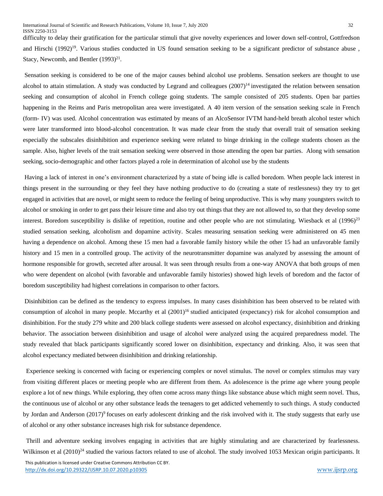difficulty to delay their gratification for the particular stimuli that give novelty experiences and lower down self-control, Gottfredson and Hirschi  $(1992)^{19}$ . Various studies conducted in US found sensation seeking to be a significant predictor of substance abuse, Stacy, Newcomb, and Bentler  $(1993)^{21}$ .

Sensation seeking is considered to be one of the major causes behind alcohol use problems. Sensation seekers are thought to use alcohol to attain stimulation. A study was conducted by Legrand and colleagues  $(2007)^{14}$  investigated the relation between sensation seeking and consumption of alcohol in French college going students. The sample consisted of 205 students. Open bar parties happening in the Reims and Paris metropolitan area were investigated. A 40 item version of the sensation seeking scale in French (form- IV) was used. Alcohol concentration was estimated by means of an AlcoSensor IVTM hand-held breath alcohol tester which were later transformed into blood-alcohol concentration. It was made clear from the study that overall trait of sensation seeking especially the subscales disinhibition and experience seeking were related to binge drinking in the college students chosen as the sample. Also, higher levels of the trait sensation seeking were observed in those attending the open bar parties. Along with sensation seeking, socio-demographic and other factors played a role in determination of alcohol use by the students

Having a lack of interest in one's environment characterized by a state of being idle is called boredom. When people lack interest in things present in the surrounding or they feel they have nothing productive to do (creating a state of restlessness) they try to get engaged in activities that are novel, or might seem to reduce the feeling of being unproductive. This is why many youngsters switch to alcohol or smoking in order to get pass their leisure time and also try out things that they are not allowed to, so that they develop some interest. Boredom susceptibility is dislike of repetition, routine and other people who are not stimulating. Wiesback et al  $(1996)^{23}$ studied sensation seeking, alcoholism and dopamine activity. Scales measuring sensation seeking were administered on 45 men having a dependence on alcohol. Among these 15 men had a favorable family history while the other 15 had an unfavorable family history and 15 men in a controlled group. The activity of the neurotransmitter dopamine was analyzed by assessing the amount of hormone responsible for growth, secreted after arousal. It was seen through results from a one-way ANOVA that both groups of men who were dependent on alcohol (with favorable and unfavorable family histories) showed high levels of boredom and the factor of boredom susceptibility had highest correlations in comparison to other factors.

Disinhibition can be defined as the tendency to express impulses. In many cases disinhibition has been observed to be related with consumption of alcohol in many people. Mccarthy et al  $(2001)^{16}$  studied anticipated (expectancy) risk for alcohol consumption and disinhibition. For the study 279 white and 200 black college students were assessed on alcohol expectancy, disinhibition and drinking behavior. The association between disinhibition and usage of alcohol were analyzed using the acquired preparedness model. The study revealed that black participants significantly scored lower on disinhibition, expectancy and drinking. Also, it was seen that alcohol expectancy mediated between disinhibition and drinking relationship.

 Experience seeking is concerned with facing or experiencing complex or novel stimulus. The novel or complex stimulus may vary from visiting different places or meeting people who are different from them. As adolescence is the prime age where young people explore a lot of new things. While exploring, they often come across many things like substance abuse which might seem novel. Thus, the continuous use of alcohol or any other substance leads the teenagers to get addicted vehemently to such things. A study conducted by Jordan and Anderson (2017)<sup>9</sup> focuses on early adolescent drinking and the risk involved with it. The study suggests that early use of alcohol or any other substance increases high risk for substance dependence.

 Thrill and adventure seeking involves engaging in activities that are highly stimulating and are characterized by fearlessness. Wilkinson et al  $(2010)^{24}$  studied the various factors related to use of alcohol. The study involved 1053 Mexican origin participants. It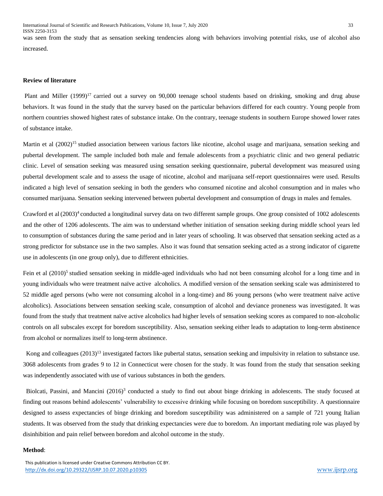was seen from the study that as sensation seeking tendencies along with behaviors involving potential risks, use of alcohol also increased.

## **Review of literature**

Plant and Miller (1999)<sup>17</sup> carried out a survey on 90,000 teenage school students based on drinking, smoking and drug abuse behaviors. It was found in the study that the survey based on the particular behaviors differed for each country. Young people from northern countries showed highest rates of substance intake. On the contrary, teenage students in southern Europe showed lower rates of substance intake.

Martin et al (2002)<sup>15</sup> studied association between various factors like nicotine, alcohol usage and marijuana, sensation seeking and pubertal development. The sample included both male and female adolescents from a psychiatric clinic and two general pediatric clinic. Level of sensation seeking was measured using sensation seeking questionnaire, pubertal development was measured using pubertal development scale and to assess the usage of nicotine, alcohol and marijuana self-report questionnaires were used. Results indicated a high level of sensation seeking in both the genders who consumed nicotine and alcohol consumption and in males who consumed marijuana. Sensation seeking intervened between pubertal development and consumption of drugs in males and females.

Crawford et al  $(2003)^4$  conducted a longitudinal survey data on two different sample groups. One group consisted of 1002 adolescents and the other of 1206 adolescents. The aim was to understand whether initiation of sensation seeking during middle school years led to consumption of substances during the same period and in later years of schooling. It was observed that sensation seeking acted as a strong predictor for substance use in the two samples. Also it was found that sensation seeking acted as a strong indicator of cigarette use in adolescents (in one group only), due to different ethnicities.

Fein et al  $(2010)^5$  studied sensation seeking in middle-aged individuals who had not been consuming alcohol for a long time and in young individuals who were treatment naïve active alcoholics. A modified version of the sensation seeking scale was administered to 52 middle aged persons (who were not consuming alcohol in a long-time) and 86 young persons (who were treatment naïve active alcoholics). Associations between sensation seeking scale, consumption of alcohol and deviance proneness was investigated. It was found from the study that treatment naïve active alcoholics had higher levels of sensation seeking scores as compared to non-alcoholic controls on all subscales except for boredom susceptibility. Also, sensation seeking either leads to adaptation to long-term abstinence from alcohol or normalizes itself to long-term abstinence.

Kong and colleagues (2013)<sup>13</sup> investigated factors like pubertal status, sensation seeking and impulsivity in relation to substance use. 3068 adolescents from grades 9 to 12 in Connecticut were chosen for the study. It was found from the study that sensation seeking was independently associated with use of various substances in both the genders.

Biolcati, Passini, and Mancini (2016)<sup>3</sup> conducted a study to find out about binge drinking in adolescents. The study focused at finding out reasons behind adolescents' vulnerability to excessive drinking while focusing on boredom susceptibility. A questionnaire designed to assess expectancies of binge drinking and boredom susceptibility was administered on a sample of 721 young Italian students. It was observed from the study that drinking expectancies were due to boredom. An important mediating role was played by disinhibition and pain relief between boredom and alcohol outcome in the study.

## **Method**: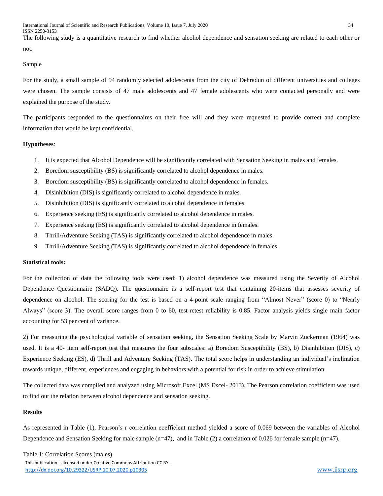The following study is a quantitative research to find whether alcohol dependence and sensation seeking are related to each other or not.

#### Sample

For the study, a small sample of 94 randomly selected adolescents from the city of Dehradun of different universities and colleges were chosen. The sample consists of 47 male adolescents and 47 female adolescents who were contacted personally and were explained the purpose of the study.

The participants responded to the questionnaires on their free will and they were requested to provide correct and complete information that would be kept confidential.

# **Hypotheses**:

- 1. It is expected that Alcohol Dependence will be significantly correlated with Sensation Seeking in males and females.
- 2. Boredom susceptibility (BS) is significantly correlated to alcohol dependence in males.
- 3. Boredom susceptibility (BS) is significantly correlated to alcohol dependence in females.
- 4. Disinhibition (DIS) is significantly correlated to alcohol dependence in males.
- 5. Disinhibition (DIS) is significantly correlated to alcohol dependence in females.
- 6. Experience seeking (ES) is significantly correlated to alcohol dependence in males.
- 7. Experience seeking (ES) is significantly correlated to alcohol dependence in females.
- 8. Thrill/Adventure Seeking (TAS) is significantly correlated to alcohol dependence in males.
- 9. Thrill/Adventure Seeking (TAS) is significantly correlated to alcohol dependence in females.

# **Statistical tools:**

For the collection of data the following tools were used: 1) alcohol dependence was measured using the Severity of Alcohol Dependence Questionnaire (SADQ). The questionnaire is a self-report test that containing 20-items that assesses severity of dependence on alcohol. The scoring for the test is based on a 4-point scale ranging from "Almost Never" (score 0) to "Nearly Always" (score 3). The overall score ranges from 0 to 60, test-retest reliability is 0.85. Factor analysis yields single main factor accounting for 53 per cent of variance.

2) For measuring the psychological variable of sensation seeking, the Sensation Seeking Scale by Marvin Zuckerman (1964) was used. It is a 40- item self-report test that measures the four subscales: a) Boredom Susceptibility (BS), b) Disinhibition (DIS), c) Experience Seeking (ES), d) Thrill and Adventure Seeking (TAS). The total score helps in understanding an individual's inclination towards unique, different, experiences and engaging in behaviors with a potential for risk in order to achieve stimulation.

The collected data was compiled and analyzed using Microsoft Excel (MS Excel- 2013). The Pearson correlation coefficient was used to find out the relation between alcohol dependence and sensation seeking.

#### **Results**

As represented in Table (1), Pearson's r correlation coefficient method yielded a score of 0.069 between the variables of Alcohol Dependence and Sensation Seeking for male sample (n=47), and in Table (2) a correlation of 0.026 for female sample (n=47).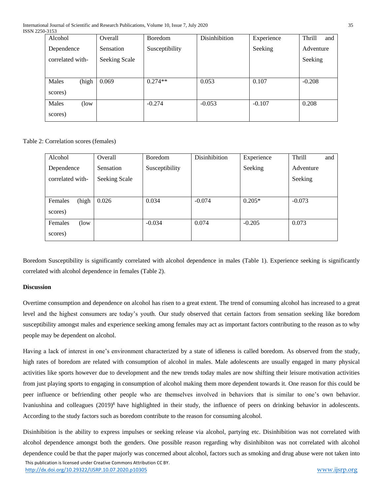| -9199            |       |               |                |               |            |               |  |  |  |  |  |
|------------------|-------|---------------|----------------|---------------|------------|---------------|--|--|--|--|--|
| Alcohol          |       | Overall       | <b>Boredom</b> | Disinhibition | Experience | Thrill<br>and |  |  |  |  |  |
| Dependence       |       | Sensation     | Susceptibility |               | Seeking    | Adventure     |  |  |  |  |  |
| correlated with- |       | Seeking Scale |                |               |            | Seeking       |  |  |  |  |  |
|                  |       |               |                |               |            |               |  |  |  |  |  |
| Males            | (high | 0.069         | $0.274**$      | 0.053         | 0.107      | $-0.208$      |  |  |  |  |  |
| scores)          |       |               |                |               |            |               |  |  |  |  |  |
| Males            | (low) |               | $-0.274$       | $-0.053$      | $-0.107$   | 0.208         |  |  |  |  |  |
| scores)          |       |               |                |               |            |               |  |  |  |  |  |

## Table 2: Correlation scores (females)

| Alcohol          | Overall          | Boredom        | Disinhibition | Experience | Thrill    | and |
|------------------|------------------|----------------|---------------|------------|-----------|-----|
| Dependence       | <b>Sensation</b> | Susceptibility |               | Seeking    | Adventure |     |
| correlated with- | Seeking Scale    |                |               |            | Seeking   |     |
|                  |                  |                |               |            |           |     |
| (high<br>Females | 0.026            | 0.034          | $-0.074$      | $0.205*$   | $-0.073$  |     |
| scores)          |                  |                |               |            |           |     |
| Females<br>(low) |                  | $-0.034$       | 0.074         | $-0.205$   | 0.073     |     |
| scores)          |                  |                |               |            |           |     |

Boredom Susceptibility is significantly correlated with alcohol dependence in males (Table 1). Experience seeking is significantly correlated with alcohol dependence in females (Table 2).

#### **Discussion**

Overtime consumption and dependence on alcohol has risen to a great extent. The trend of consuming alcohol has increased to a great level and the highest consumers are today's youth. Our study observed that certain factors from sensation seeking like boredom susceptibility amongst males and experience seeking among females may act as important factors contributing to the reason as to why people may be dependent on alcohol.

Having a lack of interest in one's environment characterized by a state of idleness is called boredom. As observed from the study, high rates of boredom are related with consumption of alcohol in males. Male adolescents are usually engaged in many physical activities like sports however due to development and the new trends today males are now shifting their leisure motivation activities from just playing sports to engaging in consumption of alcohol making them more dependent towards it. One reason for this could be peer influence or befriending other people who are themselves involved in behaviors that is similar to one's own behavior. Ivaniushina and colleagues (2019)<sup>8</sup> have highlighted in their study, the influence of peers on drinking behavior in adolescents. According to the study factors such as boredom contribute to the reason for consuming alcohol.

 This publication is licensed under Creative Commons Attribution CC BY. Disinhibition is the ability to express impulses or seeking release via alcohol, partying etc. Disinhibition was not correlated with alcohol dependence amongst both the genders. One possible reason regarding why disinhibiton was not correlated with alcohol dependence could be that the paper majorly was concerned about alcohol, factors such as smoking and drug abuse were not taken into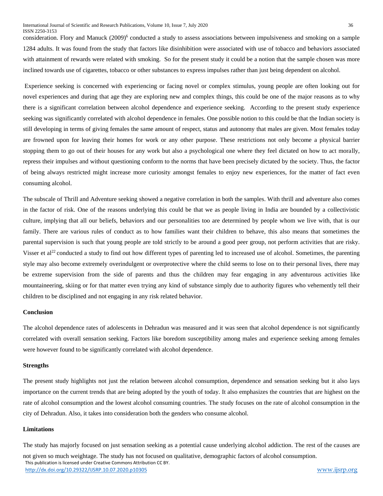consideration. Flory and Manuck (2009)<sup>6</sup> conducted a study to assess associations between impulsiveness and smoking on a sample 1284 adults. It was found from the study that factors like disinhibition were associated with use of tobacco and behaviors associated with attainment of rewards were related with smoking. So for the present study it could be a notion that the sample chosen was more inclined towards use of cigarettes, tobacco or other substances to express impulses rather than just being dependent on alcohol.

Experience seeking is concerned with experiencing or facing novel or complex stimulus, young people are often looking out for novel experiences and during that age they are exploring new and complex things, this could be one of the major reasons as to why there is a significant correlation between alcohol dependence and experience seeking. According to the present study experience seeking was significantly correlated with alcohol dependence in females. One possible notion to this could be that the Indian society is still developing in terms of giving females the same amount of respect, status and autonomy that males are given. Most females today are frowned upon for leaving their homes for work or any other purpose. These restrictions not only become a physical barrier stopping them to go out of their houses for any work but also a psychological one where they feel dictated on how to act morally, repress their impulses and without questioning conform to the norms that have been precisely dictated by the society. Thus, the factor of being always restricted might increase more curiosity amongst females to enjoy new experiences, for the matter of fact even consuming alcohol.

The subscale of Thrill and Adventure seeking showed a negative correlation in both the samples. With thrill and adventure also comes in the factor of risk. One of the reasons underlying this could be that we as people living in India are bounded by a collectivistic culture, implying that all our beliefs, behaviors and our personalities too are determined by people whom we live with, that is our family. There are various rules of conduct as to how families want their children to behave, this also means that sometimes the parental supervision is such that young people are told strictly to be around a good peer group, not perform activities that are risky. Visser et al<sup>22</sup> conducted a study to find out how different types of parenting led to increased use of alcohol. Sometimes, the parenting style may also become extremely overindulgent or overprotective where the child seems to lose on to their personal lives, there may be extreme supervision from the side of parents and thus the children may fear engaging in any adventurous activities like mountaineering, skiing or for that matter even trying any kind of substance simply due to authority figures who vehemently tell their children to be disciplined and not engaging in any risk related behavior.

#### **Conclusion**

The alcohol dependence rates of adolescents in Dehradun was measured and it was seen that alcohol dependence is not significantly correlated with overall sensation seeking. Factors like boredom susceptibility among males and experience seeking among females were however found to be significantly correlated with alcohol dependence.

#### **Strengths**

The present study highlights not just the relation between alcohol consumption, dependence and sensation seeking but it also lays importance on the current trends that are being adopted by the youth of today. It also emphasizes the countries that are highest on the rate of alcohol consumption and the lowest alcohol consuming countries. The study focuses on the rate of alcohol consumption in the city of Dehradun. Also, it takes into consideration both the genders who consume alcohol.

#### **Limitations**

 This publication is licensed under Creative Commons Attribution CC BY. <http://dx.doi.org/10.29322/IJSRP.10.07.2020.p10305> [www.ijsrp.org](http://www.ijsrp.org/) The study has majorly focused on just sensation seeking as a potential cause underlying alcohol addiction. The rest of the causes are not given so much weightage. The study has not focused on qualitative, demographic factors of alcohol consumption.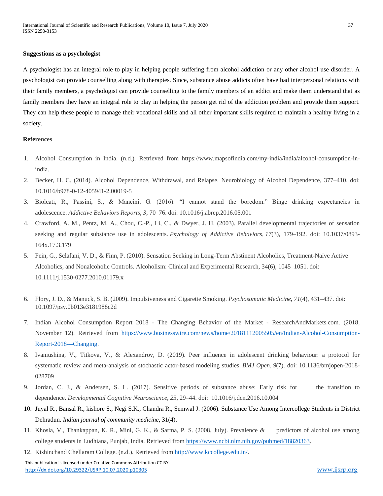#### **Suggestions as a psychologist**

A psychologist has an integral role to play in helping people suffering from alcohol addiction or any other alcohol use disorder. A psychologist can provide counselling along with therapies. Since, substance abuse addicts often have bad interpersonal relations with their family members, a psychologist can provide counselling to the family members of an addict and make them understand that as family members they have an integral role to play in helping the person get rid of the addiction problem and provide them support. They can help these people to manage their vocational skills and all other important skills required to maintain a healthy living in a society.

## **References**

- 1. Alcohol Consumption in India. (n.d.). Retrieved from https://www.mapsofindia.com/my-india/india/alcohol-consumption-inindia.
- 2. Becker, H. C. (2014). Alcohol Dependence, Withdrawal, and Relapse. Neurobiology of Alcohol Dependence, 377–410. doi: 10.1016/b978-0-12-405941-2.00019-5
- 3. Biolcati, R., Passini, S., & Mancini, G. (2016). "I cannot stand the boredom." Binge drinking expectancies in adolescence. *Addictive Behaviors Reports*, *3*, 70–76. doi: 10.1016/j.abrep.2016.05.001
- 4. Crawford, A. M., Pentz, M. A., Chou, C.-P., Li, C., & Dwyer, J. H. (2003). Parallel developmental trajectories of sensation seeking and regular substance use in adolescents. *Psychology of Addictive Behaviors*, *17*(3), 179–192. doi: 10.1037/0893- 164x.17.3.179
- 5. Fein, G., Sclafani, V. D., & Finn, P. (2010). Sensation Seeking in Long-Term Abstinent Alcoholics, Treatment-Naïve Active Alcoholics, and Nonalcoholic Controls. Alcoholism: Clinical and Experimental Research, 34(6), 1045–1051. doi: 10.1111/j.1530-0277.2010.01179.x
- 6. Flory, J. D., & Manuck, S. B. (2009). Impulsiveness and Cigarette Smoking. *Psychosomatic Medicine*, *71*(4), 431–437. doi: 10.1097/psy.0b013e3181988c2d
- 7. Indian Alcohol Consumption Report 2018 The Changing Behavior of the Market ResearchAndMarkets.com. (2018, November 12). Retrieved from [https://www.businesswire.com/news/home/20181112005505/en/Indian-Alcohol-Consumption-](https://www.businesswire.com/news/home/20181112005505/en/Indian-Alcohol-Consumption-Report-2018---Changing)[Report-2018---Changing.](https://www.businesswire.com/news/home/20181112005505/en/Indian-Alcohol-Consumption-Report-2018---Changing)
- 8. Ivaniushina, V., Titkova, V., & Alexandrov, D. (2019). Peer influence in adolescent drinking behaviour: a protocol for systematic review and meta-analysis of stochastic actor-based modeling studies. *BMJ Open*, *9*(7). doi: 10.1136/bmjopen-2018- 028709
- 9. Jordan, C. J., & Andersen, S. L. (2017). Sensitive periods of substance abuse: Early risk for the transition to dependence. *Developmental Cognitive Neuroscience*, *25*, 29–44. doi: 10.1016/j.dcn.2016.10.004
- 10. Juyal R., Bansal R., kishore S., Negi S.K., Chandra R., Semwal J. (2006). Substance Use Among Intercollege Students in District Dehradun. *Indian journal of community medicine,* 31(4).
- 11. Khosla, V., Thankappan, K. R., Mini, G. K., & Sarma, P. S. (2008, July). Prevalence & predictors of alcohol use among college students in Ludhiana, Punjab, India. Retrieved fro[m https://www.ncbi.nlm.nih.gov/pubmed/18820363.](https://www.ncbi.nlm.nih.gov/pubmed/18820363)
- 12. Kishinchand Chellaram College. (n.d.). Retrieved fro[m http://www.kccollege.edu.in/.](http://www.kccollege.edu.in/)

 This publication is licensed under Creative Commons Attribution CC BY. <http://dx.doi.org/10.29322/IJSRP.10.07.2020.p10305> [www.ijsrp.org](http://www.ijsrp.org/)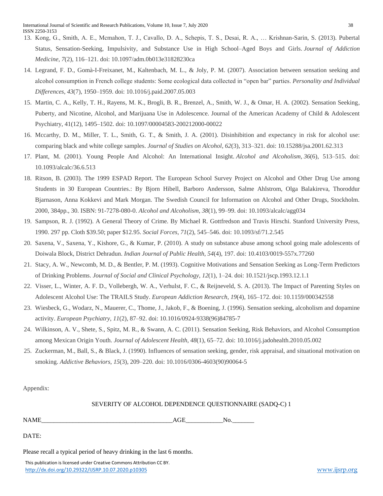- 13. Kong, G., Smith, A. E., Mcmahon, T. J., Cavallo, D. A., Schepis, T. S., Desai, R. A., … Krishnan-Sarin, S. (2013). Pubertal Status, Sensation-Seeking, Impulsivity, and Substance Use in High School–Aged Boys and Girls. *Journal of Addiction Medicine*, *7*(2), 116–121. doi: 10.1097/adm.0b013e31828230ca
- 14. Legrand, F. D., Gomà-I-Freixanet, M., Kaltenbach, M. L., & Joly, P. M. (2007). Association between sensation seeking and alcohol consumption in French college students: Some ecological data collected in "open bar" parties. *Personality and Individual Differences*, *43*(7), 1950–1959. doi: 10.1016/j.paid.2007.05.003
- 15. Martin, C. A., Kelly, T. H., Rayens, M. K., Brogli, B. R., Brenzel, A., Smith, W. J., & Omar, H. A. (2002). Sensation Seeking, Puberty, and Nicotine, Alcohol, and Marijuana Use in Adolescence. Journal of the American Academy of Child & Adolescent Psychiatry, 41(12), 1495–1502. doi: 10.1097/00004583-200212000-00022
- 16. Mccarthy, D. M., Miller, T. L., Smith, G. T., & Smith, J. A. (2001). Disinhibition and expectancy in risk for alcohol use: comparing black and white college samples. *Journal of Studies on Alcohol*, *62*(3), 313–321. doi: 10.15288/jsa.2001.62.313
- 17. Plant, M. (2001). Young People And Alcohol: An International Insight. *Alcohol and Alcoholism*, *36*(6), 513–515. doi: 10.1093/alcalc/36.6.513
- 18. Ritson, B. (2003). The 1999 ESPAD Report. The European School Survey Project on Alcohol and Other Drug Use among Students in 30 European Countries.: By Bjorn Hibell, Barboro Andersson, Salme Ahlstrom, Olga Balakireva, Thoroddur Bjarnason, Anna Kokkevi and Mark Morgan. The Swedish Council for Information on Alcohol and Other Drugs, Stockholm. 2000, 384pp., 30. ISBN: 91-7278-080-0. *Alcohol and Alcoholism*, *38*(1), 99–99. doi: 10.1093/alcalc/agg034
- 19. Sampson, R. J. (1992). A General Theory of Crime. By Michael R. Gottfredson and Travis Hirschi. Stanford University Press, 1990. 297 pp. Cloth \$39.50; paper \$12.95. *Social Forces*, *71*(2), 545–546. doi: 10.1093/sf/71.2.545
- 20. Saxena, V., Saxena, Y., Kishore, G., & Kumar, P. (2010). A study on substance abuse among school going male adolescents of Doiwala Block, District Dehradun. *Indian Journal of Public Health*, *54*(4), 197. doi: 10.4103/0019-557x.77260
- 21. Stacy, A. W., Newcomb, M. D., & Bentler, P. M. (1993). Cognitive Motivations and Sensation Seeking as Long-Term Predictors of Drinking Problems. *Journal of Social and Clinical Psychology*, *12*(1), 1–24. doi: 10.1521/jscp.1993.12.1.1
- 22. Visser, L., Winter, A. F. D., Vollebergh, W. A., Verhulst, F. C., & Reijneveld, S. A. (2013). The Impact of Parenting Styles on Adolescent Alcohol Use: The TRAILS Study. *European Addiction Research*, *19*(4), 165–172. doi: 10.1159/000342558
- 23. Wiesbeck, G., Wodarz, N., Mauerer, C., Thome, J., Jakob, F., & Boening, J. (1996). Sensation seeking, alcoholism and dopamine activity. *European Psychiatry*, *11*(2), 87–92. doi: 10.1016/0924-9338(96)84785-7
- 24. Wilkinson, A. V., Shete, S., Spitz, M. R., & Swann, A. C. (2011). Sensation Seeking, Risk Behaviors, and Alcohol Consumption among Mexican Origin Youth. *Journal of Adolescent Health*, *48*(1), 65–72. doi: 10.1016/j.jadohealth.2010.05.002
- 25. Zuckerman, M., Ball, S., & Black, J. (1990). Influences of sensation seeking, gender, risk appraisal, and situational motivation on smoking. *Addictive Behaviors*, *15*(3), 209–220. doi: 10.1016/0306-4603(90)90064-5

Appendix:

# SEVERITY OF ALCOHOL DEPENDENCE QUESTIONNAIRE (SADQ-C) 1

NAME\_\_\_\_\_\_\_\_\_\_\_\_\_\_\_\_\_\_\_\_\_\_\_\_\_\_\_\_\_\_\_\_\_\_\_\_\_\_\_\_\_\_AGE\_\_\_\_\_\_\_\_\_\_\_\_No.\_\_\_\_\_\_\_

DATE:

Please recall a typical period of heavy drinking in the last 6 months.

 This publication is licensed under Creative Commons Attribution CC BY. <http://dx.doi.org/10.29322/IJSRP.10.07.2020.p10305> [www.ijsrp.org](http://www.ijsrp.org/)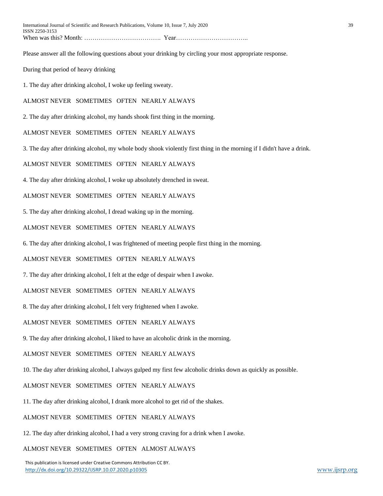International Journal of Scientific and Research Publications, Volume 10, Issue 7, July 2020 39 ISSN 2250-3153 When was this? Month: ………………………………. Year……………………………..

Please answer all the following questions about your drinking by circling your most appropriate response.

During that period of heavy drinking

1. The day after drinking alcohol, I woke up feeling sweaty.

ALMOST NEVER SOMETIMES OFTEN NEARLY ALWAYS

2. The day after drinking alcohol, my hands shook first thing in the morning.

ALMOST NEVER SOMETIMES OFTEN NEARLY ALWAYS

3. The day after drinking alcohol, my whole body shook violently first thing in the morning if I didn't have a drink.

ALMOST NEVER SOMETIMES OFTEN NEARLY ALWAYS

4. The day after drinking alcohol, I woke up absolutely drenched in sweat.

ALMOST NEVER SOMETIMES OFTEN NEARLY ALWAYS

5. The day after drinking alcohol, I dread waking up in the morning.

ALMOST NEVER SOMETIMES OFTEN NEARLY ALWAYS

6. The day after drinking alcohol, I was frightened of meeting people first thing in the morning.

ALMOST NEVER SOMETIMES OFTEN NEARLY ALWAYS

7. The day after drinking alcohol, I felt at the edge of despair when I awoke.

ALMOST NEVER SOMETIMES OFTEN NEARLY ALWAYS

8. The day after drinking alcohol, I felt very frightened when I awoke.

ALMOST NEVER SOMETIMES OFTEN NEARLY ALWAYS

9. The day after drinking alcohol, I liked to have an alcoholic drink in the morning.

ALMOST NEVER SOMETIMES OFTEN NEARLY ALWAYS

10. The day after drinking alcohol, I always gulped my first few alcoholic drinks down as quickly as possible.

ALMOST NEVER SOMETIMES OFTEN NEARLY ALWAYS

11. The day after drinking alcohol, I drank more alcohol to get rid of the shakes.

ALMOST NEVER SOMETIMES OFTEN NEARLY ALWAYS

12. The day after drinking alcohol, I had a very strong craving for a drink when I awoke.

ALMOST NEVER SOMETIMES OFTEN ALMOST ALWAYS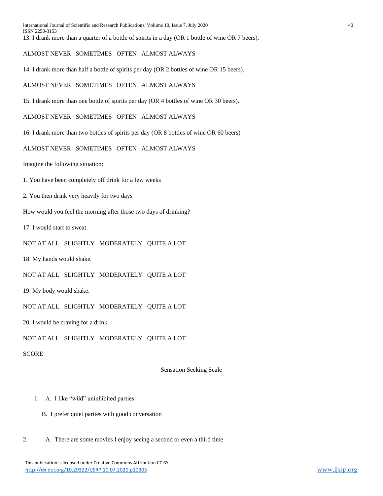# ALMOST NEVER SOMETIMES OFTEN ALMOST ALWAYS

14. I drank more than half a bottle of spirits per day (OR 2 bottles of wine OR 15 beers).

ALMOST NEVER SOMETIMES OFTEN ALMOST ALWAYS

15. I drank more than one bottle of spirits per day (OR 4 bottles of wine OR 30 beers).

ALMOST NEVER SOMETIMES OFTEN ALMOST ALWAYS

16. I drank more than two bottles of spirits per day (OR 8 bottles of wine OR 60 beers)

ALMOST NEVER SOMETIMES OFTEN ALMOST ALWAYS

Imagine the following situation:

1. You have been completely off drink for a few weeks

2. You then drink very heavily for two days

How would you feel the morning after those two days of drinking?

17. I would start to sweat.

NOT AT ALL SLIGHTLY MODERATELY QUITE A LOT

18. My hands would shake.

NOT AT ALL SLIGHTLY MODERATELY QUITE A LOT

19. My body would shake.

NOT AT ALL SLIGHTLY MODERATELY QUITE A LOT

20. I would be craving for a drink.

NOT AT ALL SLIGHTLY MODERATELY QUITE A LOT

#### **SCORE**

Sensation Seeking Scale

- 1. A. I like "wild" uninhibited parties
	- B. I prefer quiet parties with good conversation
- 2. A. There are some movies I enjoy seeing a second or even a third time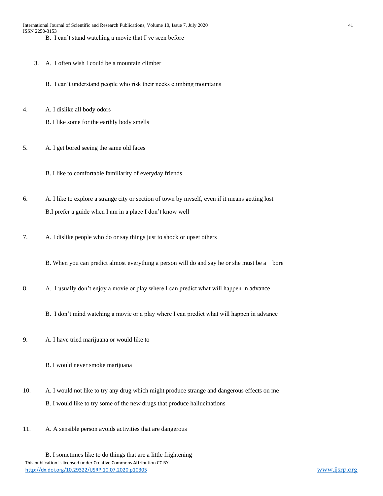- 3. A. I often wish I could be a mountain climber
	- B. I can't understand people who risk their necks climbing mountains
- 4. A. I dislike all body odors
	- B. I like some for the earthly body smells
- 5. A. I get bored seeing the same old faces
	- B. I like to comfortable familiarity of everyday friends
- 6. A. I like to explore a strange city or section of town by myself, even if it means getting lost B.I prefer a guide when I am in a place I don't know well
- 7. A. I dislike people who do or say things just to shock or upset others
	- B. When you can predict almost everything a person will do and say he or she must be a bore
- 8. A. I usually don't enjoy a movie or play where I can predict what will happen in advance
	- B. I don't mind watching a movie or a play where I can predict what will happen in advance
- 9. A. I have tried marijuana or would like to
	- B. I would never smoke marijuana
- 10. A. I would not like to try any drug which might produce strange and dangerous effects on me B. I would like to try some of the new drugs that produce hallucinations
- 11. A. A sensible person avoids activities that are dangerous
- This publication is licensed under Creative Commons Attribution CC BY. <http://dx.doi.org/10.29322/IJSRP.10.07.2020.p10305> [www.ijsrp.org](http://www.ijsrp.org/) B. I sometimes like to do things that are a little frightening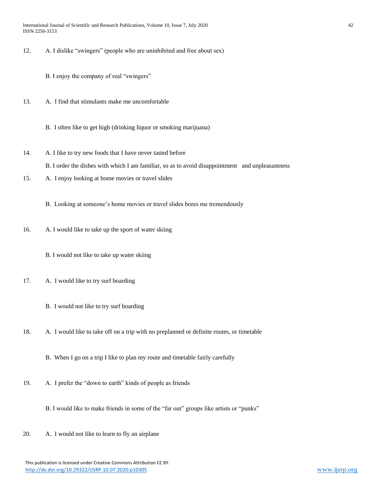12. A. I dislike "swingers" (people who are uninhibited and free about sex)

B. I enjoy the company of real "swingers"

- 13. A. I find that stimulants make me uncomfortable
	- B. I often like to get high (drinking liquor or smoking marijuana)
- 14. A. I like to try new foods that I have never tasted before
	- B. I order the dishes with which I am familiar, so as to avoid disappointment and unpleasantness
- 15. A. I enjoy looking at home movies or travel slides

B. Looking at someone's home movies or travel slides bores me tremendously

- 16. A. I would like to take up the sport of water skiing
	- B. I would not like to take up water skiing
- 17. A. I would like to try surf boarding
	- B. I would not like to try surf boarding

18. A. I would like to take off on a trip with no preplanned or definite routes, or timetable

- B. When I go on a trip I like to plan my route and timetable fairly carefully
- 19. A. I prefer the "down to earth" kinds of people as friends
	- B. I would like to make friends in some of the "far out" groups like artists or "punks"
- 20. A. I would not like to learn to fly an airplane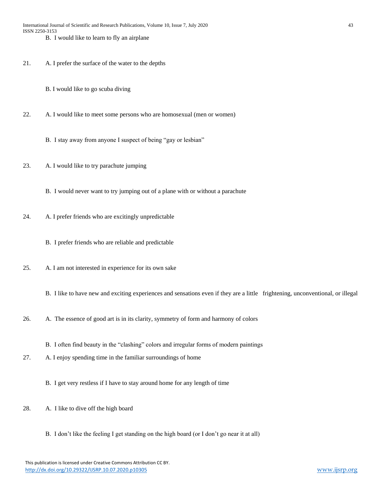21. A. I prefer the surface of the water to the depths

- B. I would like to go scuba diving
- 22. A. I would like to meet some persons who are homosexual (men or women)
	- B. I stay away from anyone I suspect of being "gay or lesbian"
- 23. A. I would like to try parachute jumping
	- B. I would never want to try jumping out of a plane with or without a parachute
- 24. A. I prefer friends who are excitingly unpredictable
	- B. I prefer friends who are reliable and predictable
- 25. A. I am not interested in experience for its own sake
	- B. I like to have new and exciting experiences and sensations even if they are a little frightening, unconventional, or illegal
- 26. A. The essence of good art is in its clarity, symmetry of form and harmony of colors
	- B. I often find beauty in the "clashing" colors and irregular forms of modern paintings
- 27. A. I enjoy spending time in the familiar surroundings of home
	- B. I get very restless if I have to stay around home for any length of time
- 28. A. I like to dive off the high board
	- B. I don't like the feeling I get standing on the high board (or I don't go near it at all)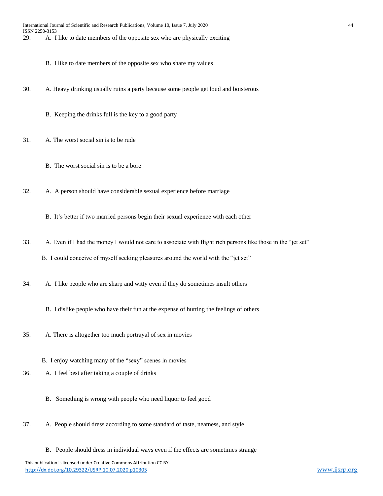- B. I like to date members of the opposite sex who share my values
- 30. A. Heavy drinking usually ruins a party because some people get loud and boisterous
	- B. Keeping the drinks full is the key to a good party
- 31. A. The worst social sin is to be rude
	- B. The worst social sin is to be a bore
- 32. A. A person should have considerable sexual experience before marriage

B. It's better if two married persons begin their sexual experience with each other

33. A. Even if I had the money I would not care to associate with flight rich persons like those in the "jet set"

B. I could conceive of myself seeking pleasures around the world with the "jet set"

34. A. I like people who are sharp and witty even if they do sometimes insult others

- B. I dislike people who have their fun at the expense of hurting the feelings of others
- 35. A. There is altogether too much portrayal of sex in movies
	- B. I enjoy watching many of the "sexy" scenes in movies
- 36. A. I feel best after taking a couple of drinks
	- B. Something is wrong with people who need liquor to feel good
- 37. A. People should dress according to some standard of taste, neatness, and style
	- B. People should dress in individual ways even if the effects are sometimes strange

 This publication is licensed under Creative Commons Attribution CC BY. <http://dx.doi.org/10.29322/IJSRP.10.07.2020.p10305> [www.ijsrp.org](http://www.ijsrp.org/)